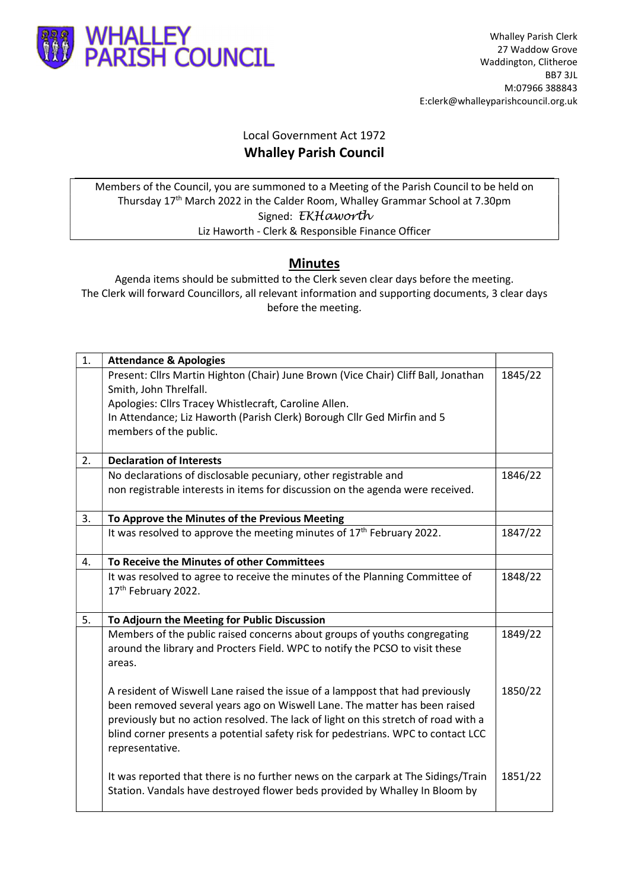

## Local Government Act 1972 Whalley Parish Council

Members of the Council, you are summoned to a Meeting of the Parish Council to be held on Thursday 17th March 2022 in the Calder Room, Whalley Grammar School at 7.30pm Signed: EKHaworth Liz Haworth - Clerk & Responsible Finance Officer

## Minutes

Agenda items should be submitted to the Clerk seven clear days before the meeting. The Clerk will forward Councillors, all relevant information and supporting documents, 3 clear days before the meeting.

| 1. | <b>Attendance &amp; Apologies</b>                                                   |         |  |  |  |
|----|-------------------------------------------------------------------------------------|---------|--|--|--|
|    | Present: Cllrs Martin Highton (Chair) June Brown (Vice Chair) Cliff Ball, Jonathan  |         |  |  |  |
|    | Smith, John Threlfall.                                                              |         |  |  |  |
|    | Apologies: Cllrs Tracey Whistlecraft, Caroline Allen.                               |         |  |  |  |
|    | In Attendance; Liz Haworth (Parish Clerk) Borough Cllr Ged Mirfin and 5             |         |  |  |  |
|    | members of the public.                                                              |         |  |  |  |
| 2. | <b>Declaration of Interests</b>                                                     |         |  |  |  |
|    | No declarations of disclosable pecuniary, other registrable and                     | 1846/22 |  |  |  |
|    | non registrable interests in items for discussion on the agenda were received.      |         |  |  |  |
|    |                                                                                     |         |  |  |  |
| 3. | To Approve the Minutes of the Previous Meeting                                      |         |  |  |  |
|    | It was resolved to approve the meeting minutes of 17 <sup>th</sup> February 2022.   | 1847/22 |  |  |  |
|    |                                                                                     |         |  |  |  |
| 4. | To Receive the Minutes of other Committees                                          |         |  |  |  |
|    | It was resolved to agree to receive the minutes of the Planning Committee of        | 1848/22 |  |  |  |
|    | 17th February 2022.                                                                 |         |  |  |  |
| 5. | To Adjourn the Meeting for Public Discussion                                        |         |  |  |  |
|    | Members of the public raised concerns about groups of youths congregating           | 1849/22 |  |  |  |
|    | around the library and Procters Field. WPC to notify the PCSO to visit these        |         |  |  |  |
|    | areas.                                                                              |         |  |  |  |
|    |                                                                                     |         |  |  |  |
|    | A resident of Wiswell Lane raised the issue of a lamppost that had previously       | 1850/22 |  |  |  |
|    | been removed several years ago on Wiswell Lane. The matter has been raised          |         |  |  |  |
|    | previously but no action resolved. The lack of light on this stretch of road with a |         |  |  |  |
|    | blind corner presents a potential safety risk for pedestrians. WPC to contact LCC   |         |  |  |  |
|    | representative.                                                                     |         |  |  |  |
|    |                                                                                     |         |  |  |  |
|    | It was reported that there is no further news on the carpark at The Sidings/Train   | 1851/22 |  |  |  |
|    | Station. Vandals have destroyed flower beds provided by Whalley In Bloom by         |         |  |  |  |
|    |                                                                                     |         |  |  |  |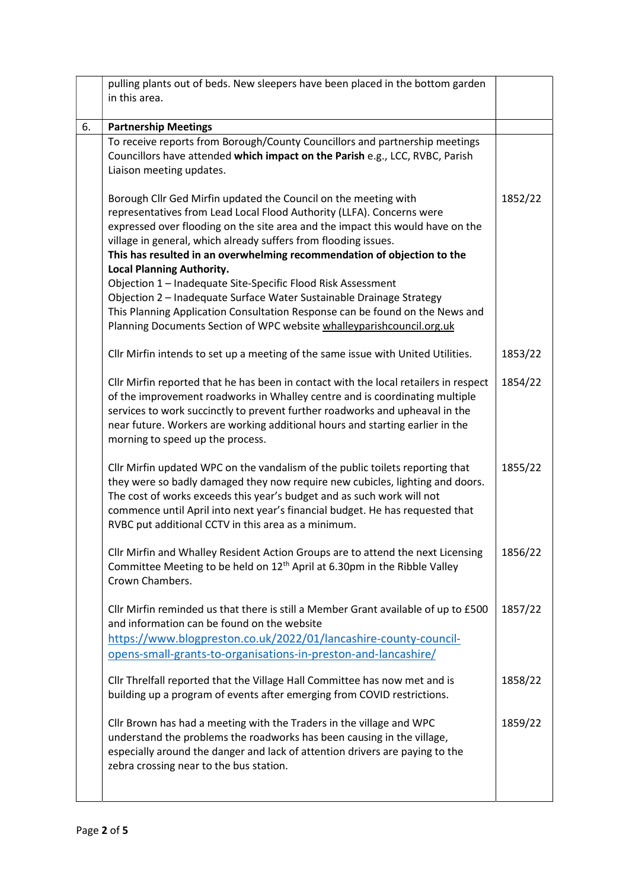|    | pulling plants out of beds. New sleepers have been placed in the bottom garden                           |         |  |
|----|----------------------------------------------------------------------------------------------------------|---------|--|
|    | in this area.                                                                                            |         |  |
| 6. | <b>Partnership Meetings</b>                                                                              |         |  |
|    | To receive reports from Borough/County Councillors and partnership meetings                              |         |  |
|    | Councillors have attended which impact on the Parish e.g., LCC, RVBC, Parish                             |         |  |
|    | Liaison meeting updates.                                                                                 |         |  |
|    |                                                                                                          |         |  |
|    | Borough Cllr Ged Mirfin updated the Council on the meeting with                                          | 1852/22 |  |
|    | representatives from Lead Local Flood Authority (LLFA). Concerns were                                    |         |  |
|    | expressed over flooding on the site area and the impact this would have on the                           |         |  |
|    | village in general, which already suffers from flooding issues.                                          |         |  |
|    | This has resulted in an overwhelming recommendation of objection to the                                  |         |  |
|    | <b>Local Planning Authority.</b>                                                                         |         |  |
|    | Objection 1 - Inadequate Site-Specific Flood Risk Assessment                                             |         |  |
|    | Objection 2 - Inadequate Surface Water Sustainable Drainage Strategy                                     |         |  |
|    | This Planning Application Consultation Response can be found on the News and                             |         |  |
|    | Planning Documents Section of WPC website whalleyparishcouncil.org.uk                                    |         |  |
|    | Cllr Mirfin intends to set up a meeting of the same issue with United Utilities.                         | 1853/22 |  |
|    |                                                                                                          |         |  |
|    | Cllr Mirfin reported that he has been in contact with the local retailers in respect                     | 1854/22 |  |
|    | of the improvement roadworks in Whalley centre and is coordinating multiple                              |         |  |
|    | services to work succinctly to prevent further roadworks and upheaval in the                             |         |  |
|    | near future. Workers are working additional hours and starting earlier in the                            |         |  |
|    | morning to speed up the process.                                                                         |         |  |
|    | Cllr Mirfin updated WPC on the vandalism of the public toilets reporting that                            | 1855/22 |  |
|    | they were so badly damaged they now require new cubicles, lighting and doors.                            |         |  |
|    | The cost of works exceeds this year's budget and as such work will not                                   |         |  |
|    | commence until April into next year's financial budget. He has requested that                            |         |  |
|    | RVBC put additional CCTV in this area as a minimum.                                                      |         |  |
|    |                                                                                                          |         |  |
|    | Cllr Mirfin and Whalley Resident Action Groups are to attend the next Licensing                          | 1856/22 |  |
|    | Committee Meeting to be held on 12 <sup>th</sup> April at 6.30pm in the Ribble Valley<br>Crown Chambers. |         |  |
|    |                                                                                                          |         |  |
|    | Cllr Mirfin reminded us that there is still a Member Grant available of up to £500                       | 1857/22 |  |
|    | and information can be found on the website                                                              |         |  |
|    | https://www.blogpreston.co.uk/2022/01/lancashire-county-council-                                         |         |  |
|    | opens-small-grants-to-organisations-in-preston-and-lancashire/                                           |         |  |
|    |                                                                                                          |         |  |
|    | Cllr Threlfall reported that the Village Hall Committee has now met and is                               | 1858/22 |  |
|    | building up a program of events after emerging from COVID restrictions.                                  |         |  |
|    | Cllr Brown has had a meeting with the Traders in the village and WPC                                     | 1859/22 |  |
|    | understand the problems the roadworks has been causing in the village,                                   |         |  |
|    | especially around the danger and lack of attention drivers are paying to the                             |         |  |
|    | zebra crossing near to the bus station.                                                                  |         |  |
|    |                                                                                                          |         |  |
|    |                                                                                                          |         |  |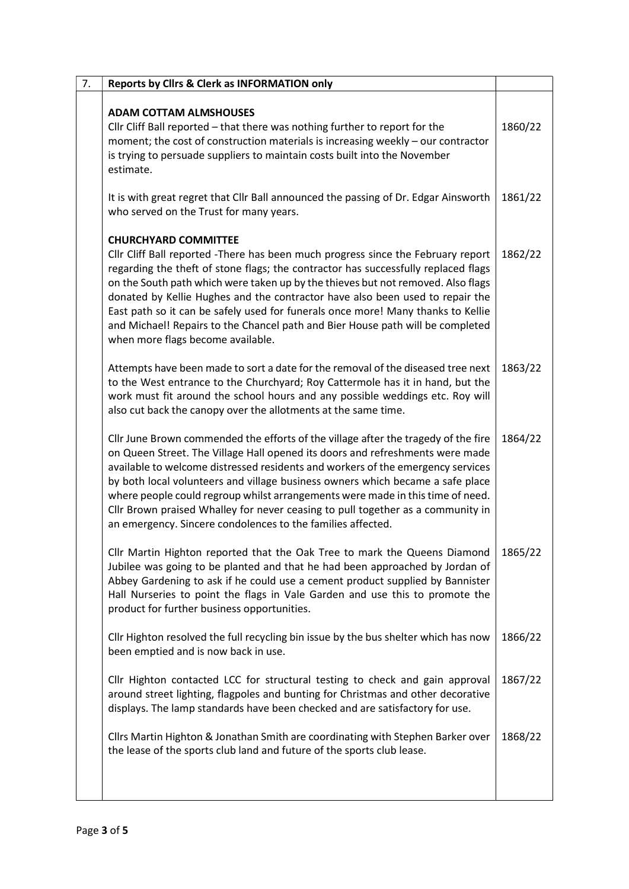| 7. | <b>Reports by Clirs &amp; Clerk as INFORMATION only</b>                                                                                                                                                                                                                                                                                                                                                                                                                                                                                                                                |         |  |
|----|----------------------------------------------------------------------------------------------------------------------------------------------------------------------------------------------------------------------------------------------------------------------------------------------------------------------------------------------------------------------------------------------------------------------------------------------------------------------------------------------------------------------------------------------------------------------------------------|---------|--|
|    | <b>ADAM COTTAM ALMSHOUSES</b><br>Cllr Cliff Ball reported - that there was nothing further to report for the<br>moment; the cost of construction materials is increasing weekly - our contractor<br>is trying to persuade suppliers to maintain costs built into the November<br>estimate.                                                                                                                                                                                                                                                                                             | 1860/22 |  |
|    | It is with great regret that Cllr Ball announced the passing of Dr. Edgar Ainsworth<br>who served on the Trust for many years.                                                                                                                                                                                                                                                                                                                                                                                                                                                         | 1861/22 |  |
|    | <b>CHURCHYARD COMMITTEE</b><br>Cllr Cliff Ball reported - There has been much progress since the February report<br>regarding the theft of stone flags; the contractor has successfully replaced flags<br>on the South path which were taken up by the thieves but not removed. Also flags<br>donated by Kellie Hughes and the contractor have also been used to repair the<br>East path so it can be safely used for funerals once more! Many thanks to Kellie<br>and Michael! Repairs to the Chancel path and Bier House path will be completed<br>when more flags become available. | 1862/22 |  |
|    | Attempts have been made to sort a date for the removal of the diseased tree next<br>to the West entrance to the Churchyard; Roy Cattermole has it in hand, but the<br>work must fit around the school hours and any possible weddings etc. Roy will<br>also cut back the canopy over the allotments at the same time.                                                                                                                                                                                                                                                                  | 1863/22 |  |
|    | Cllr June Brown commended the efforts of the village after the tragedy of the fire<br>on Queen Street. The Village Hall opened its doors and refreshments were made<br>available to welcome distressed residents and workers of the emergency services<br>by both local volunteers and village business owners which became a safe place<br>where people could regroup whilst arrangements were made in this time of need.<br>Cllr Brown praised Whalley for never ceasing to pull together as a community in<br>an emergency. Sincere condolences to the families affected.           | 1864/22 |  |
|    | Cllr Martin Highton reported that the Oak Tree to mark the Queens Diamond<br>Jubilee was going to be planted and that he had been approached by Jordan of<br>Abbey Gardening to ask if he could use a cement product supplied by Bannister<br>Hall Nurseries to point the flags in Vale Garden and use this to promote the<br>product for further business opportunities.                                                                                                                                                                                                              | 1865/22 |  |
|    | Cllr Highton resolved the full recycling bin issue by the bus shelter which has now<br>been emptied and is now back in use.                                                                                                                                                                                                                                                                                                                                                                                                                                                            | 1866/22 |  |
|    | Cllr Highton contacted LCC for structural testing to check and gain approval<br>around street lighting, flagpoles and bunting for Christmas and other decorative<br>displays. The lamp standards have been checked and are satisfactory for use.                                                                                                                                                                                                                                                                                                                                       | 1867/22 |  |
|    | Cllrs Martin Highton & Jonathan Smith are coordinating with Stephen Barker over<br>the lease of the sports club land and future of the sports club lease.                                                                                                                                                                                                                                                                                                                                                                                                                              | 1868/22 |  |
|    |                                                                                                                                                                                                                                                                                                                                                                                                                                                                                                                                                                                        |         |  |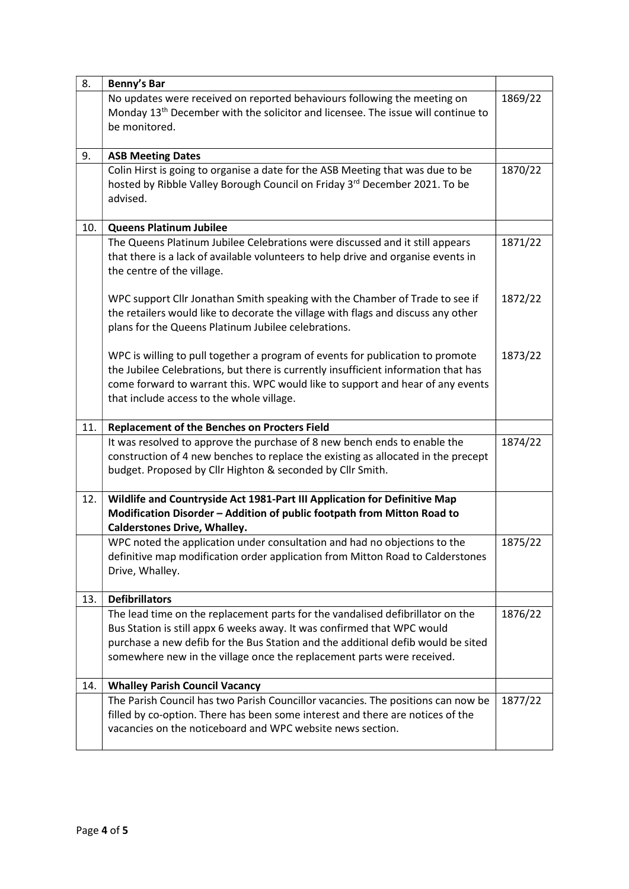| 8.  | Benny's Bar                                                                                                                                          |         |  |  |  |
|-----|------------------------------------------------------------------------------------------------------------------------------------------------------|---------|--|--|--|
|     | No updates were received on reported behaviours following the meeting on<br>1869/22                                                                  |         |  |  |  |
|     | Monday 13 <sup>th</sup> December with the solicitor and licensee. The issue will continue to                                                         |         |  |  |  |
|     | be monitored.                                                                                                                                        |         |  |  |  |
|     |                                                                                                                                                      |         |  |  |  |
| 9.  | <b>ASB Meeting Dates</b>                                                                                                                             |         |  |  |  |
|     | Colin Hirst is going to organise a date for the ASB Meeting that was due to be                                                                       | 1870/22 |  |  |  |
|     | hosted by Ribble Valley Borough Council on Friday 3rd December 2021. To be                                                                           |         |  |  |  |
|     | advised.                                                                                                                                             |         |  |  |  |
|     |                                                                                                                                                      |         |  |  |  |
| 10. | <b>Queens Platinum Jubilee</b>                                                                                                                       |         |  |  |  |
|     | The Queens Platinum Jubilee Celebrations were discussed and it still appears                                                                         | 1871/22 |  |  |  |
|     | that there is a lack of available volunteers to help drive and organise events in                                                                    |         |  |  |  |
|     | the centre of the village.                                                                                                                           |         |  |  |  |
|     | WPC support Cllr Jonathan Smith speaking with the Chamber of Trade to see if                                                                         | 1872/22 |  |  |  |
|     | the retailers would like to decorate the village with flags and discuss any other                                                                    |         |  |  |  |
|     | plans for the Queens Platinum Jubilee celebrations.                                                                                                  |         |  |  |  |
|     |                                                                                                                                                      |         |  |  |  |
|     | WPC is willing to pull together a program of events for publication to promote                                                                       | 1873/22 |  |  |  |
|     | the Jubilee Celebrations, but there is currently insufficient information that has                                                                   |         |  |  |  |
|     | come forward to warrant this. WPC would like to support and hear of any events                                                                       |         |  |  |  |
|     | that include access to the whole village.                                                                                                            |         |  |  |  |
|     |                                                                                                                                                      |         |  |  |  |
| 11. | <b>Replacement of the Benches on Procters Field</b>                                                                                                  |         |  |  |  |
|     | It was resolved to approve the purchase of 8 new bench ends to enable the                                                                            | 1874/22 |  |  |  |
|     | construction of 4 new benches to replace the existing as allocated in the precept                                                                    |         |  |  |  |
|     | budget. Proposed by Cllr Highton & seconded by Cllr Smith.                                                                                           |         |  |  |  |
|     |                                                                                                                                                      |         |  |  |  |
| 12. | Wildlife and Countryside Act 1981-Part III Application for Definitive Map<br>Modification Disorder - Addition of public footpath from Mitton Road to |         |  |  |  |
|     | <b>Calderstones Drive, Whalley.</b>                                                                                                                  |         |  |  |  |
|     | WPC noted the application under consultation and had no objections to the                                                                            | 1875/22 |  |  |  |
|     | definitive map modification order application from Mitton Road to Calderstones                                                                       |         |  |  |  |
|     | Drive, Whalley.                                                                                                                                      |         |  |  |  |
|     |                                                                                                                                                      |         |  |  |  |
| 13. | <b>Defibrillators</b>                                                                                                                                |         |  |  |  |
|     | The lead time on the replacement parts for the vandalised defibrillator on the                                                                       | 1876/22 |  |  |  |
|     | Bus Station is still appx 6 weeks away. It was confirmed that WPC would                                                                              |         |  |  |  |
|     | purchase a new defib for the Bus Station and the additional defib would be sited                                                                     |         |  |  |  |
|     | somewhere new in the village once the replacement parts were received.                                                                               |         |  |  |  |
|     |                                                                                                                                                      |         |  |  |  |
| 14. | <b>Whalley Parish Council Vacancy</b>                                                                                                                |         |  |  |  |
|     | The Parish Council has two Parish Councillor vacancies. The positions can now be                                                                     | 1877/22 |  |  |  |
|     | filled by co-option. There has been some interest and there are notices of the<br>vacancies on the noticeboard and WPC website news section.         |         |  |  |  |
|     |                                                                                                                                                      |         |  |  |  |
|     |                                                                                                                                                      |         |  |  |  |